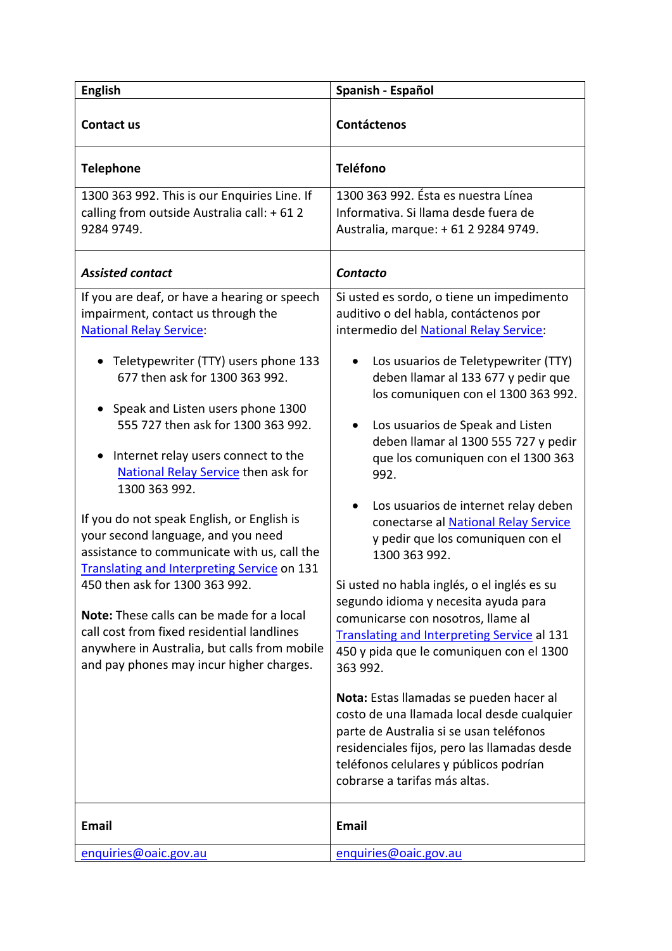| <b>English</b>                                                                                                                                                                                                                                                                                                                                                                                                                                                                                                                                                                                                                                                                                                                                              | Spanish - Español                                                                                                                                                                                                                                                                                                                                                                                                                                                                                                                                                                                                                                                                                                                                 |
|-------------------------------------------------------------------------------------------------------------------------------------------------------------------------------------------------------------------------------------------------------------------------------------------------------------------------------------------------------------------------------------------------------------------------------------------------------------------------------------------------------------------------------------------------------------------------------------------------------------------------------------------------------------------------------------------------------------------------------------------------------------|---------------------------------------------------------------------------------------------------------------------------------------------------------------------------------------------------------------------------------------------------------------------------------------------------------------------------------------------------------------------------------------------------------------------------------------------------------------------------------------------------------------------------------------------------------------------------------------------------------------------------------------------------------------------------------------------------------------------------------------------------|
| Contact us                                                                                                                                                                                                                                                                                                                                                                                                                                                                                                                                                                                                                                                                                                                                                  | <b>Contáctenos</b>                                                                                                                                                                                                                                                                                                                                                                                                                                                                                                                                                                                                                                                                                                                                |
| <b>Telephone</b>                                                                                                                                                                                                                                                                                                                                                                                                                                                                                                                                                                                                                                                                                                                                            | <b>Teléfono</b>                                                                                                                                                                                                                                                                                                                                                                                                                                                                                                                                                                                                                                                                                                                                   |
| 1300 363 992. This is our Enquiries Line. If<br>calling from outside Australia call: +612<br>9284 9749.                                                                                                                                                                                                                                                                                                                                                                                                                                                                                                                                                                                                                                                     | 1300 363 992. Ésta es nuestra Línea<br>Informativa. Si llama desde fuera de<br>Australia, marque: +61 2 9284 9749.                                                                                                                                                                                                                                                                                                                                                                                                                                                                                                                                                                                                                                |
| <b>Assisted contact</b>                                                                                                                                                                                                                                                                                                                                                                                                                                                                                                                                                                                                                                                                                                                                     | Contacto                                                                                                                                                                                                                                                                                                                                                                                                                                                                                                                                                                                                                                                                                                                                          |
| If you are deaf, or have a hearing or speech<br>impairment, contact us through the<br><b>National Relay Service:</b><br>Teletypewriter (TTY) users phone 133<br>677 then ask for 1300 363 992.<br>Speak and Listen users phone 1300<br>555 727 then ask for 1300 363 992.<br>Internet relay users connect to the<br>$\bullet$<br>National Relay Service then ask for<br>1300 363 992.<br>If you do not speak English, or English is<br>your second language, and you need<br>assistance to communicate with us, call the<br><b>Translating and Interpreting Service on 131</b><br>450 then ask for 1300 363 992.<br>Note: These calls can be made for a local<br>call cost from fixed residential landlines<br>anywhere in Australia, but calls from mobile | Si usted es sordo, o tiene un impedimento<br>auditivo o del habla, contáctenos por<br>intermedio del National Relay Service:<br>Los usuarios de Teletypewriter (TTY)<br>deben llamar al 133 677 y pedir que<br>los comuniquen con el 1300 363 992.<br>Los usuarios de Speak and Listen<br>deben llamar al 1300 555 727 y pedir<br>que los comuniquen con el 1300 363<br>992.<br>Los usuarios de internet relay deben<br>conectarse al National Relay Service<br>y pedir que los comuniquen con el<br>1300 363 992.<br>Si usted no habla inglés, o el inglés es su<br>segundo idioma y necesita ayuda para<br>comunicarse con nosotros, llame al<br><b>Translating and Interpreting Service al 131</b><br>450 y pida que le comuniquen con el 1300 |
| and pay phones may incur higher charges.                                                                                                                                                                                                                                                                                                                                                                                                                                                                                                                                                                                                                                                                                                                    | 363 992.<br>Nota: Estas llamadas se pueden hacer al<br>costo de una llamada local desde cualquier<br>parte de Australia si se usan teléfonos<br>residenciales fijos, pero las llamadas desde<br>teléfonos celulares y públicos podrían<br>cobrarse a tarifas más altas.                                                                                                                                                                                                                                                                                                                                                                                                                                                                           |
| <b>Email</b>                                                                                                                                                                                                                                                                                                                                                                                                                                                                                                                                                                                                                                                                                                                                                | <b>Email</b>                                                                                                                                                                                                                                                                                                                                                                                                                                                                                                                                                                                                                                                                                                                                      |
| enquiries@oaic.gov.au                                                                                                                                                                                                                                                                                                                                                                                                                                                                                                                                                                                                                                                                                                                                       | enquiries@oaic.gov.au                                                                                                                                                                                                                                                                                                                                                                                                                                                                                                                                                                                                                                                                                                                             |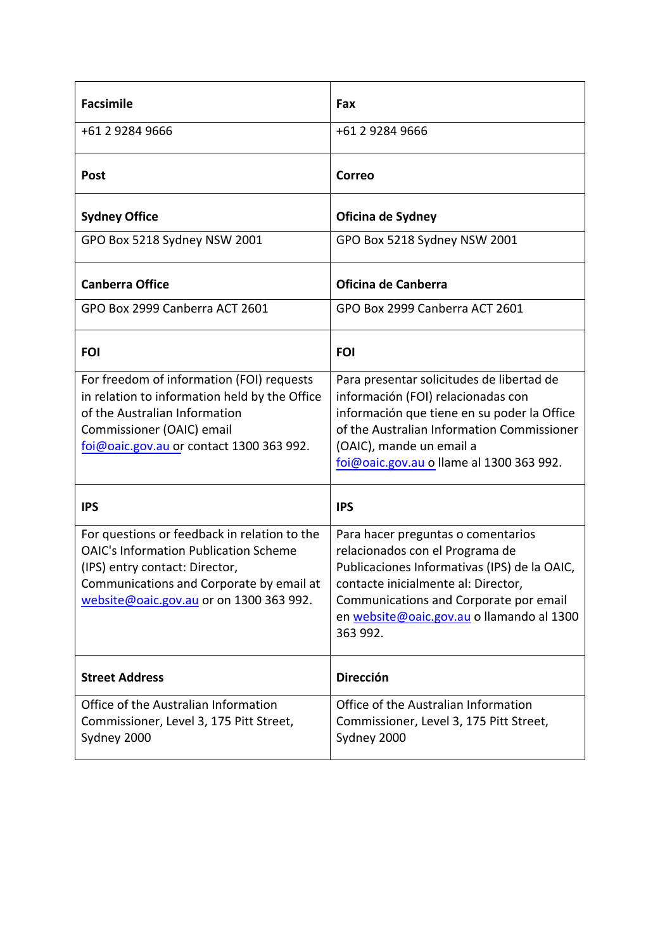| <b>Facsimile</b>                                                                                                                                                                                                      | Fax                                                                                                                                                                                                                                                             |
|-----------------------------------------------------------------------------------------------------------------------------------------------------------------------------------------------------------------------|-----------------------------------------------------------------------------------------------------------------------------------------------------------------------------------------------------------------------------------------------------------------|
| +61 2 9284 9666                                                                                                                                                                                                       | +61 2 9284 9666                                                                                                                                                                                                                                                 |
| <b>Post</b>                                                                                                                                                                                                           | Correo                                                                                                                                                                                                                                                          |
| <b>Sydney Office</b>                                                                                                                                                                                                  | Oficina de Sydney                                                                                                                                                                                                                                               |
| GPO Box 5218 Sydney NSW 2001                                                                                                                                                                                          | GPO Box 5218 Sydney NSW 2001                                                                                                                                                                                                                                    |
| <b>Canberra Office</b>                                                                                                                                                                                                | Oficina de Canberra                                                                                                                                                                                                                                             |
| GPO Box 2999 Canberra ACT 2601                                                                                                                                                                                        | GPO Box 2999 Canberra ACT 2601                                                                                                                                                                                                                                  |
| <b>FOI</b>                                                                                                                                                                                                            | <b>FOI</b>                                                                                                                                                                                                                                                      |
| For freedom of information (FOI) requests<br>in relation to information held by the Office<br>of the Australian Information<br>Commissioner (OAIC) email<br>foi@oaic.gov.au or contact 1300 363 992.                  | Para presentar solicitudes de libertad de<br>información (FOI) relacionadas con<br>información que tiene en su poder la Office<br>of the Australian Information Commissioner<br>(OAIC), mande un email a<br>foi@oaic.gov.au o llame al 1300 363 992.            |
| <b>IPS</b>                                                                                                                                                                                                            | <b>IPS</b>                                                                                                                                                                                                                                                      |
| For questions or feedback in relation to the<br><b>OAIC's Information Publication Scheme</b><br>(IPS) entry contact: Director,<br>Communications and Corporate by email at<br>website@oaic.gov.au or on 1300 363 992. | Para hacer preguntas o comentarios<br>relacionados con el Programa de<br>Publicaciones Informativas (IPS) de la OAIC,<br>contacte inicialmente al: Director,<br>Communications and Corporate por email<br>en website@oaic.gov.au o llamando al 1300<br>363 992. |
| <b>Street Address</b>                                                                                                                                                                                                 | <b>Dirección</b>                                                                                                                                                                                                                                                |
| Office of the Australian Information<br>Commissioner, Level 3, 175 Pitt Street,<br>Sydney 2000                                                                                                                        | Office of the Australian Information<br>Commissioner, Level 3, 175 Pitt Street,<br>Sydney 2000                                                                                                                                                                  |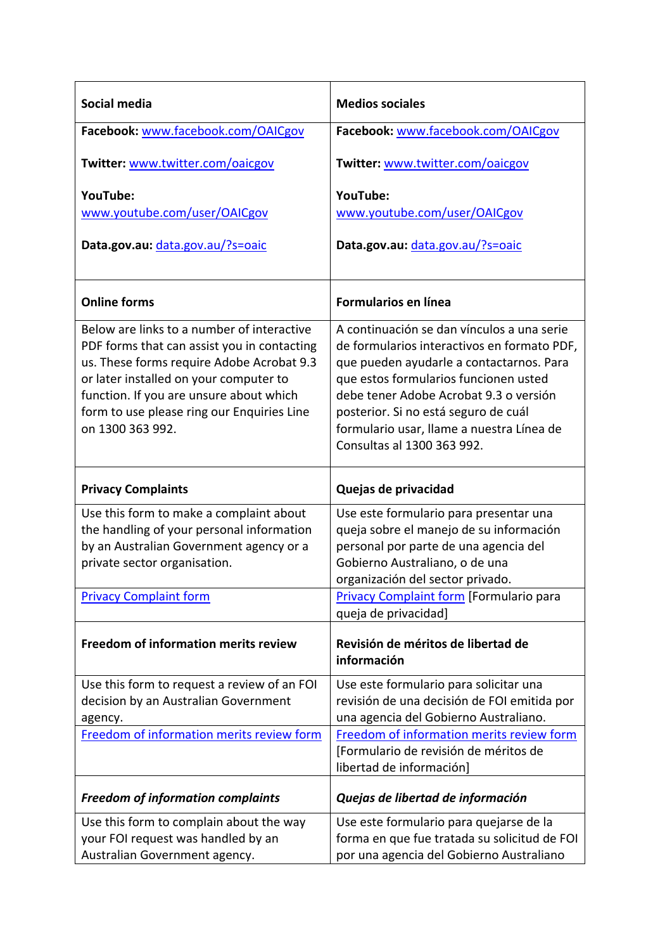| Social media                                                                                                                                                                                                                                                                                  | <b>Medios sociales</b>                                                                                                                                                                                                                                                                                                                      |
|-----------------------------------------------------------------------------------------------------------------------------------------------------------------------------------------------------------------------------------------------------------------------------------------------|---------------------------------------------------------------------------------------------------------------------------------------------------------------------------------------------------------------------------------------------------------------------------------------------------------------------------------------------|
| Facebook: www.facebook.com/OAICgov                                                                                                                                                                                                                                                            | Facebook: www.facebook.com/OAICgov                                                                                                                                                                                                                                                                                                          |
| Twitter: www.twitter.com/oaicgov                                                                                                                                                                                                                                                              | Twitter: www.twitter.com/oaicgov                                                                                                                                                                                                                                                                                                            |
| YouTube:                                                                                                                                                                                                                                                                                      | YouTube:                                                                                                                                                                                                                                                                                                                                    |
| www.youtube.com/user/OAICgov                                                                                                                                                                                                                                                                  | www.youtube.com/user/OAICgov                                                                                                                                                                                                                                                                                                                |
| Data.gov.au: data.gov.au/?s=oaic                                                                                                                                                                                                                                                              | Data.gov.au: data.gov.au/?s=oaic                                                                                                                                                                                                                                                                                                            |
| <b>Online forms</b>                                                                                                                                                                                                                                                                           | <b>Formularios en línea</b>                                                                                                                                                                                                                                                                                                                 |
| Below are links to a number of interactive<br>PDF forms that can assist you in contacting<br>us. These forms require Adobe Acrobat 9.3<br>or later installed on your computer to<br>function. If you are unsure about which<br>form to use please ring our Enquiries Line<br>on 1300 363 992. | A continuación se dan vínculos a una serie<br>de formularios interactivos en formato PDF,<br>que pueden ayudarle a contactarnos. Para<br>que estos formularios funcionen usted<br>debe tener Adobe Acrobat 9.3 o versión<br>posterior. Si no está seguro de cuál<br>formulario usar, llame a nuestra Línea de<br>Consultas al 1300 363 992. |
|                                                                                                                                                                                                                                                                                               |                                                                                                                                                                                                                                                                                                                                             |
| <b>Privacy Complaints</b>                                                                                                                                                                                                                                                                     | Quejas de privacidad                                                                                                                                                                                                                                                                                                                        |
| Use this form to make a complaint about                                                                                                                                                                                                                                                       | Use este formulario para presentar una                                                                                                                                                                                                                                                                                                      |
| the handling of your personal information                                                                                                                                                                                                                                                     | queja sobre el manejo de su información                                                                                                                                                                                                                                                                                                     |
| by an Australian Government agency or a<br>private sector organisation.                                                                                                                                                                                                                       | personal por parte de una agencia del<br>Gobierno Australiano, o de una                                                                                                                                                                                                                                                                     |
|                                                                                                                                                                                                                                                                                               | organización del sector privado.                                                                                                                                                                                                                                                                                                            |
| <b>Privacy Complaint form</b>                                                                                                                                                                                                                                                                 | <b>Privacy Complaint form [Formulario para</b>                                                                                                                                                                                                                                                                                              |
| Freedom of information merits review                                                                                                                                                                                                                                                          | queja de privacidad]<br>Revisión de méritos de libertad de<br>información                                                                                                                                                                                                                                                                   |
| Use this form to request a review of an FOI                                                                                                                                                                                                                                                   | Use este formulario para solicitar una                                                                                                                                                                                                                                                                                                      |
| decision by an Australian Government                                                                                                                                                                                                                                                          | revisión de una decisión de FOI emitida por                                                                                                                                                                                                                                                                                                 |
| agency.                                                                                                                                                                                                                                                                                       | una agencia del Gobierno Australiano.                                                                                                                                                                                                                                                                                                       |
| Freedom of information merits review form                                                                                                                                                                                                                                                     | Freedom of information merits review form<br>[Formulario de revisión de méritos de<br>libertad de información]                                                                                                                                                                                                                              |
| <b>Freedom of information complaints</b>                                                                                                                                                                                                                                                      | Quejas de libertad de información                                                                                                                                                                                                                                                                                                           |
| Use this form to complain about the way                                                                                                                                                                                                                                                       | Use este formulario para quejarse de la                                                                                                                                                                                                                                                                                                     |
| your FOI request was handled by an<br>Australian Government agency.                                                                                                                                                                                                                           | forma en que fue tratada su solicitud de FOI<br>por una agencia del Gobierno Australiano                                                                                                                                                                                                                                                    |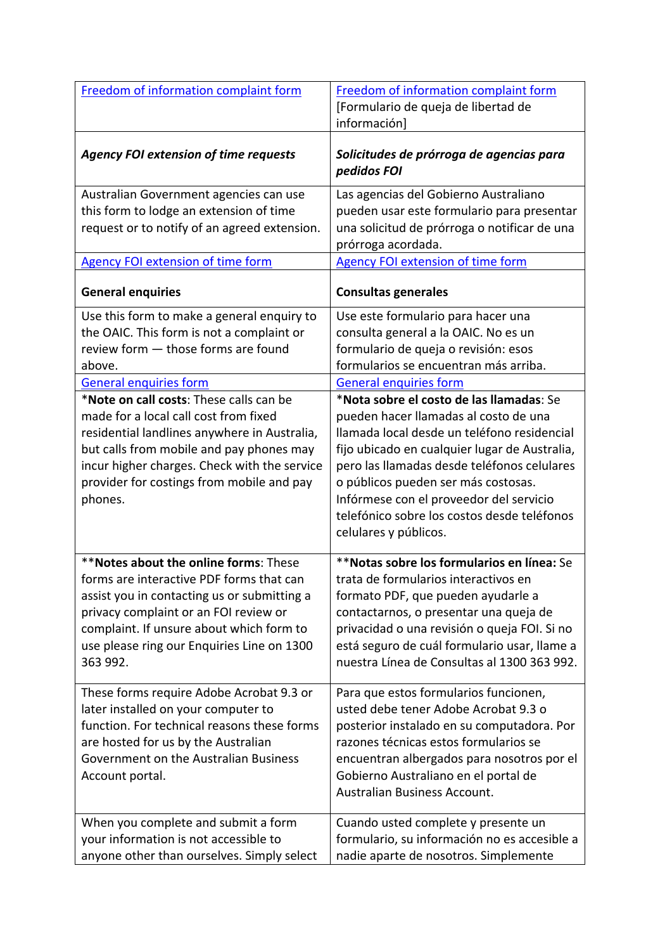| Freedom of information complaint form                                                                                                                                                                                                                                                | Freedom of information complaint form<br>[Formulario de queja de libertad de<br>información]                                                                                                                                                                                                                                                                                               |
|--------------------------------------------------------------------------------------------------------------------------------------------------------------------------------------------------------------------------------------------------------------------------------------|--------------------------------------------------------------------------------------------------------------------------------------------------------------------------------------------------------------------------------------------------------------------------------------------------------------------------------------------------------------------------------------------|
| <b>Agency FOI extension of time requests</b>                                                                                                                                                                                                                                         | Solicitudes de prórroga de agencias para<br>pedidos FOI                                                                                                                                                                                                                                                                                                                                    |
| Australian Government agencies can use<br>this form to lodge an extension of time<br>request or to notify of an agreed extension.                                                                                                                                                    | Las agencias del Gobierno Australiano<br>pueden usar este formulario para presentar<br>una solicitud de prórroga o notificar de una<br>prórroga acordada.                                                                                                                                                                                                                                  |
| <b>Agency FOI extension of time form</b>                                                                                                                                                                                                                                             | <b>Agency FOI extension of time form</b>                                                                                                                                                                                                                                                                                                                                                   |
| <b>General enquiries</b>                                                                                                                                                                                                                                                             | <b>Consultas generales</b>                                                                                                                                                                                                                                                                                                                                                                 |
| Use this form to make a general enquiry to<br>the OAIC. This form is not a complaint or<br>review form - those forms are found<br>above.                                                                                                                                             | Use este formulario para hacer una<br>consulta general a la OAIC. No es un<br>formulario de queja o revisión: esos<br>formularios se encuentran más arriba.                                                                                                                                                                                                                                |
| <b>General enquiries form</b>                                                                                                                                                                                                                                                        | <b>General enquiries form</b>                                                                                                                                                                                                                                                                                                                                                              |
| *Note on call costs: These calls can be<br>made for a local call cost from fixed<br>residential landlines anywhere in Australia,<br>but calls from mobile and pay phones may<br>incur higher charges. Check with the service<br>provider for costings from mobile and pay<br>phones. | *Nota sobre el costo de las llamadas: Se<br>pueden hacer llamadas al costo de una<br>llamada local desde un teléfono residencial<br>fijo ubicado en cualquier lugar de Australia,<br>pero las llamadas desde teléfonos celulares<br>o públicos pueden ser más costosas.<br>Infórmese con el proveedor del servicio<br>telefónico sobre los costos desde teléfonos<br>celulares y públicos. |
| **Notes about the online forms: These<br>forms are interactive PDF forms that can<br>assist you in contacting us or submitting a<br>privacy complaint or an FOI review or<br>complaint. If unsure about which form to<br>use please ring our Enquiries Line on 1300<br>363 992.      | **Notas sobre los formularios en línea: Se<br>trata de formularios interactivos en<br>formato PDF, que pueden ayudarle a<br>contactarnos, o presentar una queja de<br>privacidad o una revisión o queja FOI. Si no<br>está seguro de cuál formulario usar, llame a<br>nuestra Línea de Consultas al 1300 363 992.                                                                          |
| These forms require Adobe Acrobat 9.3 or<br>later installed on your computer to<br>function. For technical reasons these forms<br>are hosted for us by the Australian<br>Government on the Australian Business<br>Account portal.                                                    | Para que estos formularios funcionen,<br>usted debe tener Adobe Acrobat 9.3 o<br>posterior instalado en su computadora. Por<br>razones técnicas estos formularios se<br>encuentran albergados para nosotros por el<br>Gobierno Australiano en el portal de<br>Australian Business Account.                                                                                                 |
| When you complete and submit a form<br>your information is not accessible to<br>anyone other than ourselves. Simply select                                                                                                                                                           | Cuando usted complete y presente un<br>formulario, su información no es accesible a<br>nadie aparte de nosotros. Simplemente                                                                                                                                                                                                                                                               |